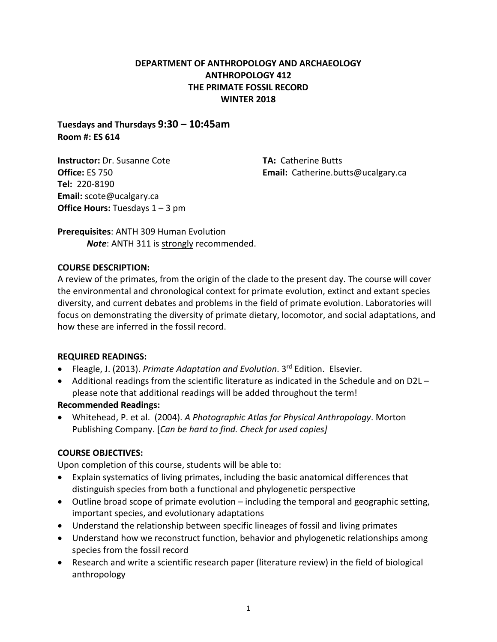## **DEPARTMENT OF ANTHROPOLOGY AND ARCHAEOLOGY ANTHROPOLOGY 412 THE PRIMATE FOSSIL RECORD WINTER 2018**

**Tuesdays and Thursdays 9:30 – 10:45am Room #: ES 614**

**Instructor:** Dr. Susanne Cote **Office:** ES 750 **Tel:** 220-8190 **Email:** scote@ucalgary.ca **Office Hours: Tuesdays 1 – 3 pm**  **TA:** Catherine Butts **Email:** Catherine.butts@ucalgary.ca

**Prerequisites**: ANTH 309 Human Evolution *Note*: ANTH 311 is strongly recommended.

## **COURSE DESCRIPTION:**

A review of the primates, from the origin of the clade to the present day. The course will cover the environmental and chronological context for primate evolution, extinct and extant species diversity, and current debates and problems in the field of primate evolution. Laboratories will focus on demonstrating the diversity of primate dietary, locomotor, and social adaptations, and how these are inferred in the fossil record.

## **REQUIRED READINGS:**

- Fleagle, J. (2013). *Primate Adaptation and Evolution*. 3rd Edition. Elsevier.
- Additional readings from the scientific literature as indicated in the Schedule and on D2L please note that additional readings will be added throughout the term!

## **Recommended Readings:**

• Whitehead, P. et al. (2004). *A Photographic Atlas for Physical Anthropology*. Morton Publishing Company. [*Can be hard to find. Check for used copies]*

## **COURSE OBJECTIVES:**

Upon completion of this course, students will be able to:

- Explain systematics of living primates, including the basic anatomical differences that distinguish species from both a functional and phylogenetic perspective
- Outline broad scope of primate evolution including the temporal and geographic setting, important species, and evolutionary adaptations
- Understand the relationship between specific lineages of fossil and living primates
- Understand how we reconstruct function, behavior and phylogenetic relationships among species from the fossil record
- Research and write a scientific research paper (literature review) in the field of biological anthropology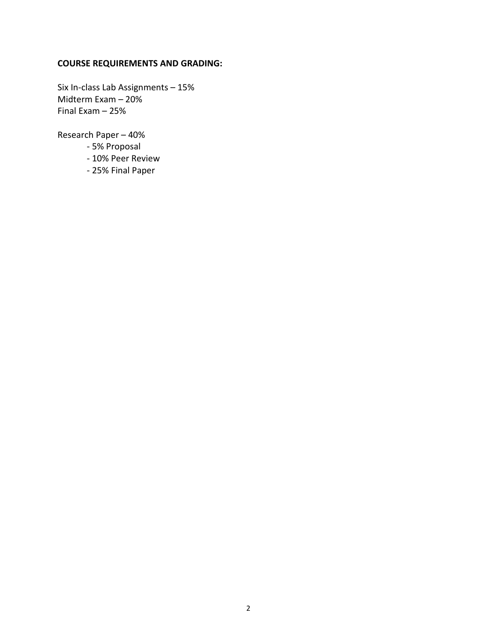## **COURSE REQUIREMENTS AND GRADING:**

Six In-class Lab Assignments – 15% Midterm Exam – 20% Final Exam – 25%

Research Paper – 40%

- 5% Proposal
- 10% Peer Review
- 25% Final Paper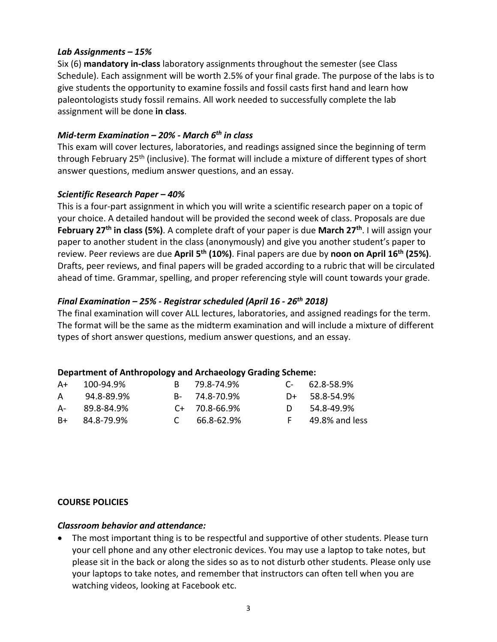### *Lab Assignments – 15%*

Six (6) **mandatory in-class** laboratory assignments throughout the semester (see Class Schedule). Each assignment will be worth 2.5% of your final grade. The purpose of the labs is to give students the opportunity to examine fossils and fossil casts first hand and learn how paleontologists study fossil remains. All work needed to successfully complete the lab assignment will be done **in class**.

## *Mid-term Examination – 20% - March 6th in class*

This exam will cover lectures, laboratories, and readings assigned since the beginning of term through February 25<sup>th</sup> (inclusive). The format will include a mixture of different types of short answer questions, medium answer questions, and an essay.

### *Scientific Research Paper – 40%*

This is a four-part assignment in which you will write a scientific research paper on a topic of your choice. A detailed handout will be provided the second week of class. Proposals are due **February 27th in class (5%)**. A complete draft of your paper is due **March 27th**. I will assign your paper to another student in the class (anonymously) and give you another student's paper to review. Peer reviews are due **April 5th (10%)**. Final papers are due by **noon on April 16th (25%)**. Drafts, peer reviews, and final papers will be graded according to a rubric that will be circulated ahead of time. Grammar, spelling, and proper referencing style will count towards your grade.

## *Final Examination – 25% - Registrar scheduled (April 16 - 26th 2018)*

The final examination will cover ALL lectures, laboratories, and assigned readings for the term. The format will be the same as the midterm examination and will include a mixture of different types of short answer questions, medium answer questions, and an essay.

## **Department of Anthropology and Archaeology Grading Scheme:**

| A+   | 100-94.9%  | B 79.8-74.9%        | $C = 62.8 - 58.9\%$ |
|------|------------|---------------------|---------------------|
| A    | 94.8-89.9% | B- 74.8-70.9%       | $D+ 58.8 - 54.9%$   |
| A-   | 89.8-84.9% | $C+ 70.8-66.9%$     | 54.8-49.9%          |
| $B+$ | 84.8-79.9% | $C = 66.8 - 62.9\%$ | 49.8% and less      |

### **COURSE POLICIES**

### *Classroom behavior and attendance:*

• The most important thing is to be respectful and supportive of other students. Please turn your cell phone and any other electronic devices. You may use a laptop to take notes, but please sit in the back or along the sides so as to not disturb other students. Please only use your laptops to take notes, and remember that instructors can often tell when you are watching videos, looking at Facebook etc.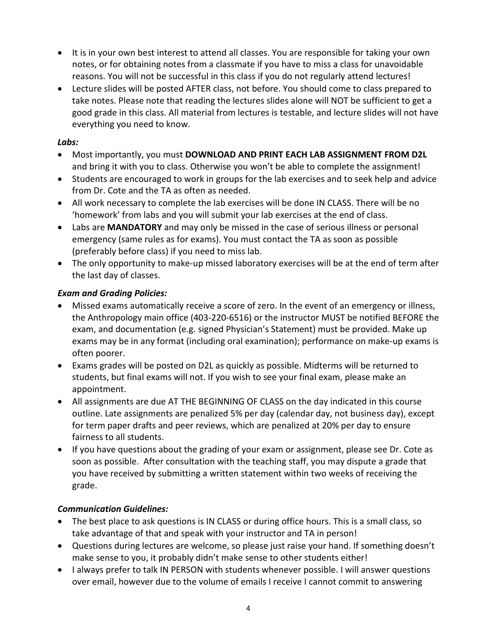- It is in your own best interest to attend all classes. You are responsible for taking your own notes, or for obtaining notes from a classmate if you have to miss a class for unavoidable reasons. You will not be successful in this class if you do not regularly attend lectures!
- Lecture slides will be posted AFTER class, not before. You should come to class prepared to take notes. Please note that reading the lectures slides alone will NOT be sufficient to get a good grade in this class. All material from lectures is testable, and lecture slides will not have everything you need to know.

## *Labs:*

- Most importantly, you must **DOWNLOAD AND PRINT EACH LAB ASSIGNMENT FROM D2L**  and bring it with you to class. Otherwise you won't be able to complete the assignment!
- Students are encouraged to work in groups for the lab exercises and to seek help and advice from Dr. Cote and the TA as often as needed.
- All work necessary to complete the lab exercises will be done IN CLASS. There will be no 'homework' from labs and you will submit your lab exercises at the end of class.
- Labs are **MANDATORY** and may only be missed in the case of serious illness or personal emergency (same rules as for exams). You must contact the TA as soon as possible (preferably before class) if you need to miss lab.
- The only opportunity to make-up missed laboratory exercises will be at the end of term after the last day of classes.

# *Exam and Grading Policies:*

- Missed exams automatically receive a score of zero. In the event of an emergency or illness, the Anthropology main office (403-220-6516) or the instructor MUST be notified BEFORE the exam, and documentation (e.g. signed Physician's Statement) must be provided. Make up exams may be in any format (including oral examination); performance on make-up exams is often poorer.
- Exams grades will be posted on D2L as quickly as possible. Midterms will be returned to students, but final exams will not. If you wish to see your final exam, please make an appointment.
- All assignments are due AT THE BEGINNING OF CLASS on the day indicated in this course outline. Late assignments are penalized 5% per day (calendar day, not business day), except for term paper drafts and peer reviews, which are penalized at 20% per day to ensure fairness to all students.
- If you have questions about the grading of your exam or assignment, please see Dr. Cote as soon as possible. After consultation with the teaching staff, you may dispute a grade that you have received by submitting a written statement within two weeks of receiving the grade.

# *Communication Guidelines:*

- The best place to ask questions is IN CLASS or during office hours. This is a small class, so take advantage of that and speak with your instructor and TA in person!
- Questions during lectures are welcome, so please just raise your hand. If something doesn't make sense to you, it probably didn't make sense to other students either!
- I always prefer to talk IN PERSON with students whenever possible. I will answer questions over email, however due to the volume of emails I receive I cannot commit to answering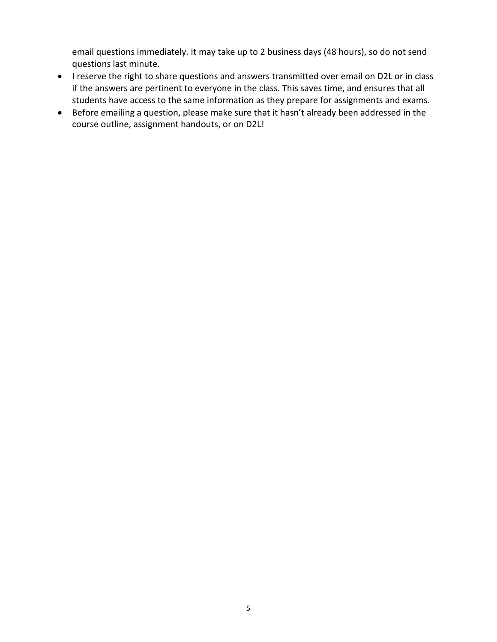email questions immediately. It may take up to 2 business days (48 hours), so do not send questions last minute.

- I reserve the right to share questions and answers transmitted over email on D2L or in class if the answers are pertinent to everyone in the class. This saves time, and ensures that all students have access to the same information as they prepare for assignments and exams.
- Before emailing a question, please make sure that it hasn't already been addressed in the course outline, assignment handouts, or on D2L!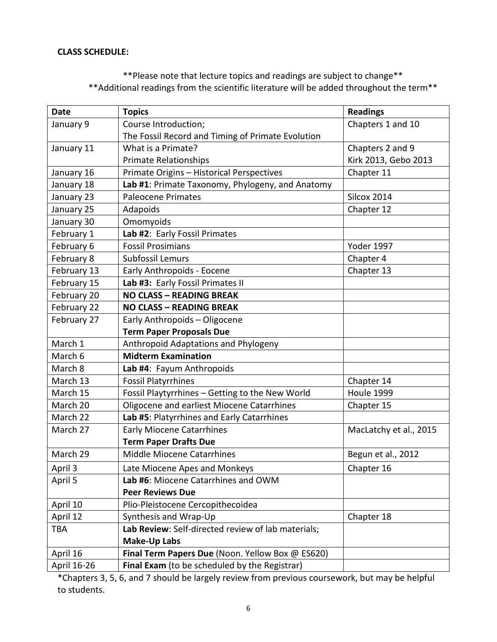#### **CLASS SCHEDULE:**

# \*\*Please note that lecture topics and readings are subject to change\*\* \*\*Additional readings from the scientific literature will be added throughout the term\*\*

| <b>Date</b> | <b>Topics</b>                                      | <b>Readings</b>        |  |
|-------------|----------------------------------------------------|------------------------|--|
| January 9   | Course Introduction;                               | Chapters 1 and 10      |  |
|             | The Fossil Record and Timing of Primate Evolution  |                        |  |
| January 11  | What is a Primate?                                 | Chapters 2 and 9       |  |
|             | <b>Primate Relationships</b>                       | Kirk 2013, Gebo 2013   |  |
| January 16  | Primate Origins - Historical Perspectives          | Chapter 11             |  |
| January 18  | Lab #1: Primate Taxonomy, Phylogeny, and Anatomy   |                        |  |
| January 23  | <b>Paleocene Primates</b>                          | <b>Silcox 2014</b>     |  |
| January 25  | Adapoids                                           | Chapter 12             |  |
| January 30  | Omomyoids                                          |                        |  |
| February 1  | Lab #2: Early Fossil Primates                      |                        |  |
| February 6  | <b>Fossil Prosimians</b>                           | <b>Yoder 1997</b>      |  |
| February 8  | Subfossil Lemurs                                   | Chapter 4              |  |
| February 13 | Early Anthropoids - Eocene                         | Chapter 13             |  |
| February 15 | Lab #3: Early Fossil Primates II                   |                        |  |
| February 20 | <b>NO CLASS - READING BREAK</b>                    |                        |  |
| February 22 | <b>NO CLASS - READING BREAK</b>                    |                        |  |
| February 27 | Early Anthropoids - Oligocene                      |                        |  |
|             | <b>Term Paper Proposals Due</b>                    |                        |  |
| March 1     | Anthropoid Adaptations and Phylogeny               |                        |  |
| March 6     | <b>Midterm Examination</b>                         |                        |  |
| March 8     | Lab #4: Fayum Anthropoids                          |                        |  |
| March 13    | <b>Fossil Platyrrhines</b>                         | Chapter 14             |  |
| March 15    | Fossil Playtyrrhines - Getting to the New World    | Houle 1999             |  |
| March 20    | Oligocene and earliest Miocene Catarrhines         | Chapter 15             |  |
| March 22    | Lab #5: Platyrrhines and Early Catarrhines         |                        |  |
| March 27    | <b>Early Miocene Catarrhines</b>                   | MacLatchy et al., 2015 |  |
|             | <b>Term Paper Drafts Due</b>                       |                        |  |
| March 29    | Middle Miocene Catarrhines                         | Begun et al., 2012     |  |
| April 3     | Late Miocene Apes and Monkeys                      | Chapter 16             |  |
| April 5     | Lab #6: Miocene Catarrhines and OWM                |                        |  |
|             | <b>Peer Reviews Due</b>                            |                        |  |
| April 10    | Plio-Pleistocene Cercopithecoidea                  |                        |  |
| April 12    | Synthesis and Wrap-Up                              | Chapter 18             |  |
| <b>TBA</b>  | Lab Review: Self-directed review of lab materials; |                        |  |
|             | <b>Make-Up Labs</b>                                |                        |  |
| April 16    | Final Term Papers Due (Noon. Yellow Box @ ES620)   |                        |  |
| April 16-26 | Final Exam (to be scheduled by the Registrar)      |                        |  |

\*Chapters 3, 5, 6, and 7 should be largely review from previous coursework, but may be helpful to students.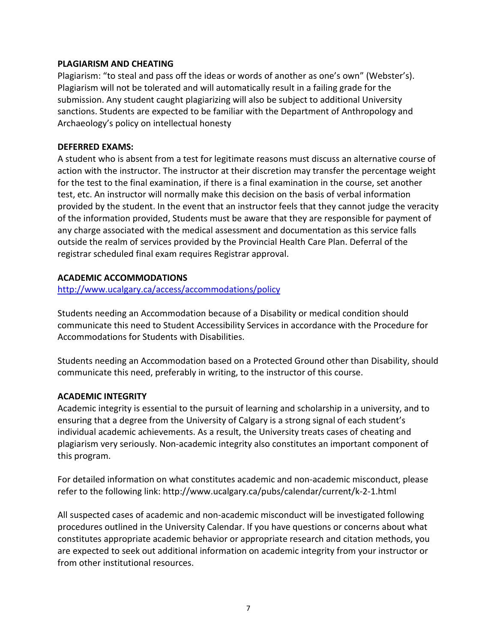### **PLAGIARISM AND CHEATING**

Plagiarism: "to steal and pass off the ideas or words of another as one's own" (Webster's). Plagiarism will not be tolerated and will automatically result in a failing grade for the submission. Any student caught plagiarizing will also be subject to additional University sanctions. Students are expected to be familiar with the Department of Anthropology and Archaeology's policy on intellectual honesty

### **DEFERRED EXAMS:**

A student who is absent from a test for legitimate reasons must discuss an alternative course of action with the instructor. The instructor at their discretion may transfer the percentage weight for the test to the final examination, if there is a final examination in the course, set another test, etc. An instructor will normally make this decision on the basis of verbal information provided by the student. In the event that an instructor feels that they cannot judge the veracity of the information provided, Students must be aware that they are responsible for payment of any charge associated with the medical assessment and documentation as this service falls outside the realm of services provided by the Provincial Health Care Plan. Deferral of the registrar scheduled final exam requires Registrar approval.

## **ACADEMIC ACCOMMODATIONS**

<http://www.ucalgary.ca/access/accommodations/policy>

Students needing an Accommodation because of a Disability or medical condition should communicate this need to Student Accessibility Services in accordance with the Procedure for Accommodations for Students with Disabilities.

Students needing an Accommodation based on a Protected Ground other than Disability, should communicate this need, preferably in writing, to the instructor of this course.

### **ACADEMIC INTEGRITY**

Academic integrity is essential to the pursuit of learning and scholarship in a university, and to ensuring that a degree from the University of Calgary is a strong signal of each student's individual academic achievements. As a result, the University treats cases of cheating and plagiarism very seriously. Non-academic integrity also constitutes an important component of this program.

For detailed information on what constitutes academic and non-academic misconduct, please refer to the following link: http://www.ucalgary.ca/pubs/calendar/current/k-2-1.html

All suspected cases of academic and non-academic misconduct will be investigated following procedures outlined in the University Calendar. If you have questions or concerns about what constitutes appropriate academic behavior or appropriate research and citation methods, you are expected to seek out additional information on academic integrity from your instructor or from other institutional resources.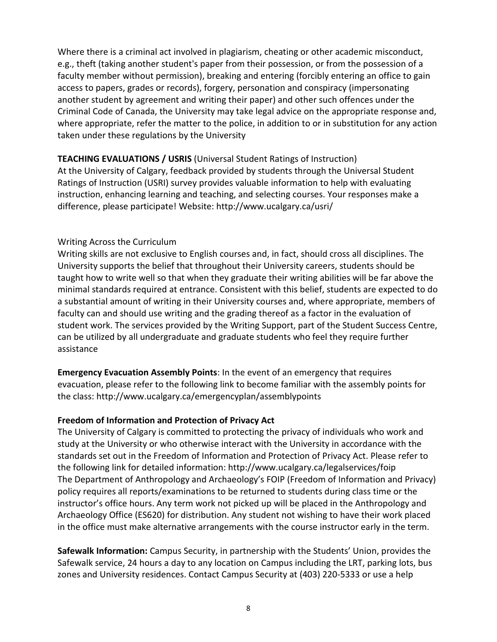Where there is a criminal act involved in plagiarism, cheating or other academic misconduct, e.g., theft (taking another student's paper from their possession, or from the possession of a faculty member without permission), breaking and entering (forcibly entering an office to gain access to papers, grades or records), forgery, personation and conspiracy (impersonating another student by agreement and writing their paper) and other such offences under the Criminal Code of Canada, the University may take legal advice on the appropriate response and, where appropriate, refer the matter to the police, in addition to or in substitution for any action taken under these regulations by the University

## **TEACHING EVALUATIONS / USRIS** (Universal Student Ratings of Instruction)

At the University of Calgary, feedback provided by students through the Universal Student Ratings of Instruction (USRI) survey provides valuable information to help with evaluating instruction, enhancing learning and teaching, and selecting courses. Your responses make a difference, please participate! Website: http://www.ucalgary.ca/usri/

## Writing Across the Curriculum

Writing skills are not exclusive to English courses and, in fact, should cross all disciplines. The University supports the belief that throughout their University careers, students should be taught how to write well so that when they graduate their writing abilities will be far above the minimal standards required at entrance. Consistent with this belief, students are expected to do a substantial amount of writing in their University courses and, where appropriate, members of faculty can and should use writing and the grading thereof as a factor in the evaluation of student work. The services provided by the Writing Support, part of the Student Success Centre, can be utilized by all undergraduate and graduate students who feel they require further assistance

**Emergency Evacuation Assembly Points**: In the event of an emergency that requires evacuation, please refer to the following link to become familiar with the assembly points for the class: http://www.ucalgary.ca/emergencyplan/assemblypoints

## **Freedom of Information and Protection of Privacy Act**

The University of Calgary is committed to protecting the privacy of individuals who work and study at the University or who otherwise interact with the University in accordance with the standards set out in the Freedom of Information and Protection of Privacy Act. Please refer to the following link for detailed information: http://www.ucalgary.ca/legalservices/foip The Department of Anthropology and Archaeology's FOIP (Freedom of Information and Privacy) policy requires all reports/examinations to be returned to students during class time or the instructor's office hours. Any term work not picked up will be placed in the Anthropology and Archaeology Office (ES620) for distribution. Any student not wishing to have their work placed in the office must make alternative arrangements with the course instructor early in the term.

**Safewalk Information:** Campus Security, in partnership with the Students' Union, provides the Safewalk service, 24 hours a day to any location on Campus including the LRT, parking lots, bus zones and University residences. Contact Campus Security at (403) 220-5333 or use a help